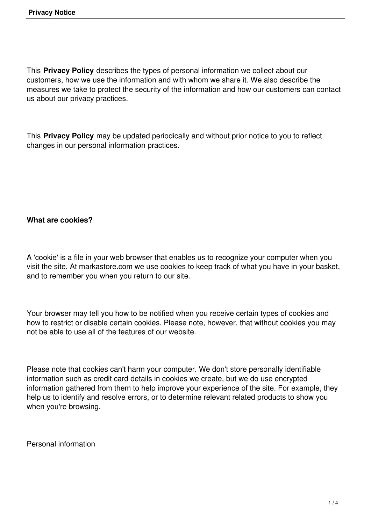This **Privacy Policy** describes the types of personal information we collect about our customers, how we use the information and with whom we share it. We also describe the measures we take to protect the security of the information and how our customers can contact us about our privacy practices.

This **Privacy Policy** may be updated periodically and without prior notice to you to reflect changes in our personal information practices.

#### **What are cookies?**

A 'cookie' is a file in your web browser that enables us to recognize your computer when you visit the site. At markastore.com we use cookies to keep track of what you have in your basket, and to remember you when you return to our site.

Your browser may tell you how to be notified when you receive certain types of cookies and how to restrict or disable certain cookies. Please note, however, that without cookies you may not be able to use all of the features of our website.

Please note that cookies can't harm your computer. We don't store personally identifiable information such as credit card details in cookies we create, but we do use encrypted information gathered from them to help improve your experience of the site. For example, they help us to identify and resolve errors, or to determine relevant related products to show you when you're browsing.

Personal information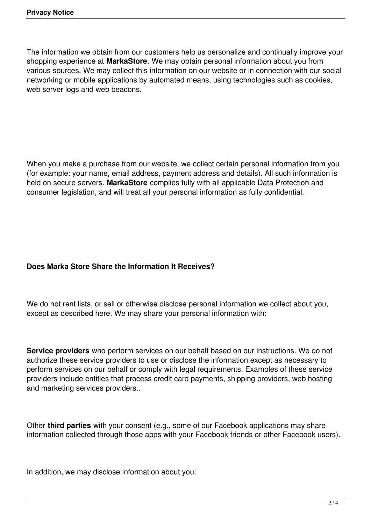The information we obtain from our customers help us personalize and continually improve your shopping experience at **MarkaStore**. We may obtain personal information about you from various sources. We may collect this information on our website or in connection with our social networking or mobile applications by automated means, using technologies such as cookies, web server logs and web beacons.

When you make a purchase from our website, we collect certain personal information from you (for example: your name, email address, payment address and details). All such information is held on secure servers. **MarkaStore** complies fully with all applicable Data Protection and consumer legislation, and will treat all your personal information as fully confidential.

## **Does Marka Store Share the Information It Receives?**

We do not rent lists, or sell or otherwise disclose personal information we collect about you, except as described here. We may share your personal information with:

**Service providers** who perform services on our behalf based on our instructions. We do not authorize these service providers to use or disclose the information except as necessary to perform services on our behalf or comply with legal requirements. Examples of these service providers include entities that process credit card payments, shipping providers, web hosting and marketing services providers..

Other **third parties** with your consent (e.g., some of our Facebook applications may share information collected through those apps with your Facebook friends or other Facebook users).

In addition, we may disclose information about you: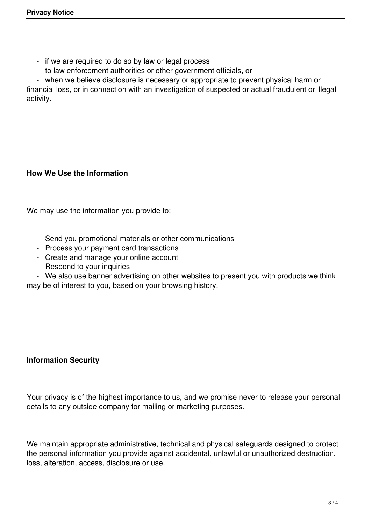- if we are required to do so by law or legal process
- to law enforcement authorities or other government officials, or
- when we believe disclosure is necessary or appropriate to prevent physical harm or

financial loss, or in connection with an investigation of suspected or actual fraudulent or illegal activity.

### **How We Use the Information**

We may use the information you provide to:

- Send you promotional materials or other communications
- Process your payment card transactions
- Create and manage your online account
- Respond to your inquiries
- We also use banner advertising on other websites to present you with products we think

may be of interest to you, based on your browsing history.

# **Information Security**

Your privacy is of the highest importance to us, and we promise never to release your personal details to any outside company for mailing or marketing purposes.

We maintain appropriate administrative, technical and physical safeguards designed to protect the personal information you provide against accidental, unlawful or unauthorized destruction, loss, alteration, access, disclosure or use.